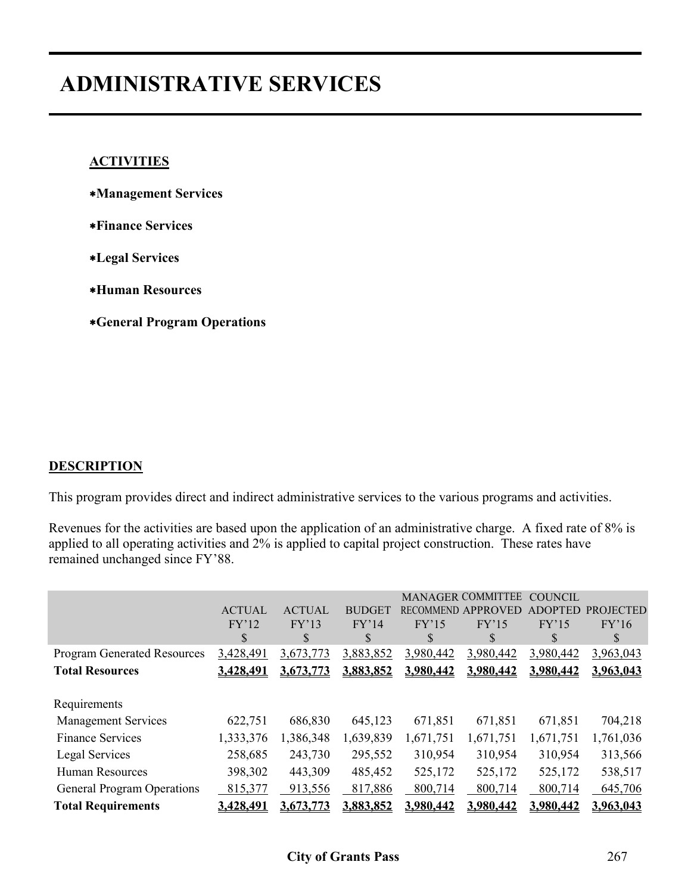# **ADMINISTRATIVE SERVICES**

#### **ACTIVITIES**

- ∗**Management Services**
- ∗**Finance Services**
- ∗**Legal Services**
- ∗**Human Resources**
- ∗**General Program Operations**

#### **DESCRIPTION**

This program provides direct and indirect administrative services to the various programs and activities.

Revenues for the activities are based upon the application of an administrative charge. A fixed rate of 8% is applied to all operating activities and 2% is applied to capital project construction. These rates have remained unchanged since FY'88.

|                                    | <b>ACTUAL</b> | <b>ACTUAL</b> | <b>BUDGET</b> |           | <b>MANAGER COMMITTEE</b><br><b>RECOMMEND APPROVED</b> | <b>COUNCIL</b><br><b>ADOPTED</b> | <b>PROJECTED</b> |
|------------------------------------|---------------|---------------|---------------|-----------|-------------------------------------------------------|----------------------------------|------------------|
|                                    | FY'12         | FY'13         | FY'14         | FY'15     | FY'15                                                 | FY'15                            | FY'16            |
|                                    | \$            | \$            | <sup>\$</sup> | S         | \$                                                    | S                                | S                |
| <b>Program Generated Resources</b> | 3,428,491     | 3,673,773     | 3,883,852     | 3,980,442 | 3,980,442                                             | 3,980,442                        | 3,963,043        |
| <b>Total Resources</b>             | 3.428.491     | 3.673.773     | 3,883,852     | 3.980.442 | 3,980,442                                             | 3,980,442                        | 3,963,043        |
|                                    |               |               |               |           |                                                       |                                  |                  |
| Requirements                       |               |               |               |           |                                                       |                                  |                  |
| <b>Management Services</b>         | 622,751       | 686,830       | 645,123       | 671,851   | 671,851                                               | 671,851                          | 704,218          |
| <b>Finance Services</b>            | 1,333,376     | 1,386,348     | 1,639,839     | 1,671,751 | 1,671,751                                             | 1,671,751                        | 1,761,036        |
| Legal Services                     | 258,685       | 243,730       | 295,552       | 310,954   | 310,954                                               | 310,954                          | 313,566          |
| <b>Human Resources</b>             | 398,302       | 443,309       | 485,452       | 525,172   | 525,172                                               | 525,172                          | 538,517          |
| <b>General Program Operations</b>  | 815,377       | 913,556       | 817,886       | 800,714   | 800,714                                               | 800,714                          | 645,706          |
| <b>Total Requirements</b>          | 3.428.491     | 3.673.773     | 3.883.852     | 3,980,442 | 3.980.442                                             | 3.980.442                        | 3.963.043        |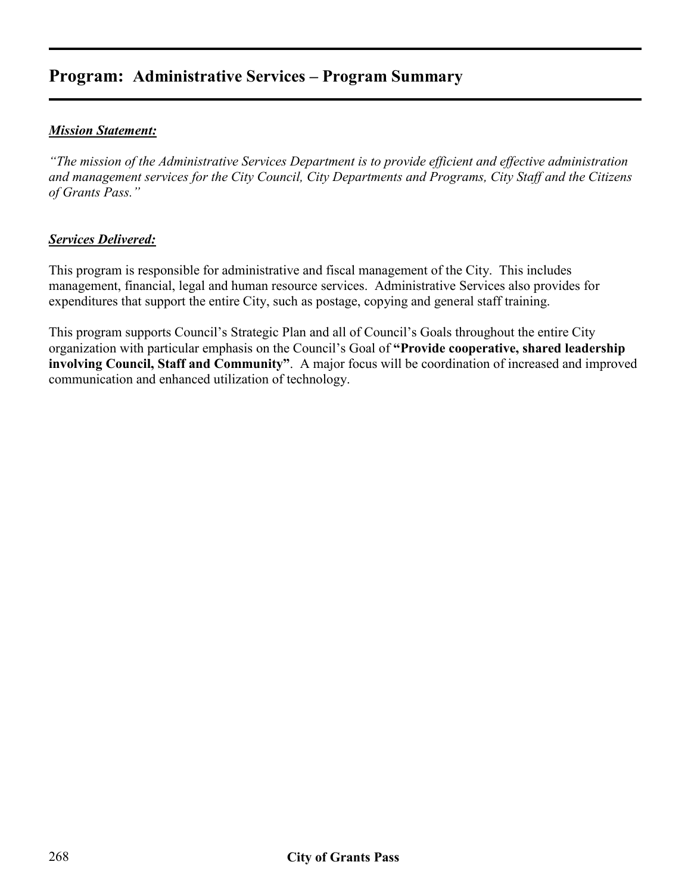## **Program: Administrative Services – Program Summary**

#### *Mission Statement:*

*"The mission of the Administrative Services Department is to provide efficient and effective administration and management services for the City Council, City Departments and Programs, City Staff and the Citizens of Grants Pass."* 

#### *Services Delivered:*

This program is responsible for administrative and fiscal management of the City. This includes management, financial, legal and human resource services. Administrative Services also provides for expenditures that support the entire City, such as postage, copying and general staff training.

This program supports Council's Strategic Plan and all of Council's Goals throughout the entire City organization with particular emphasis on the Council's Goal of **"Provide cooperative, shared leadership involving Council, Staff and Community"**. A major focus will be coordination of increased and improved communication and enhanced utilization of technology.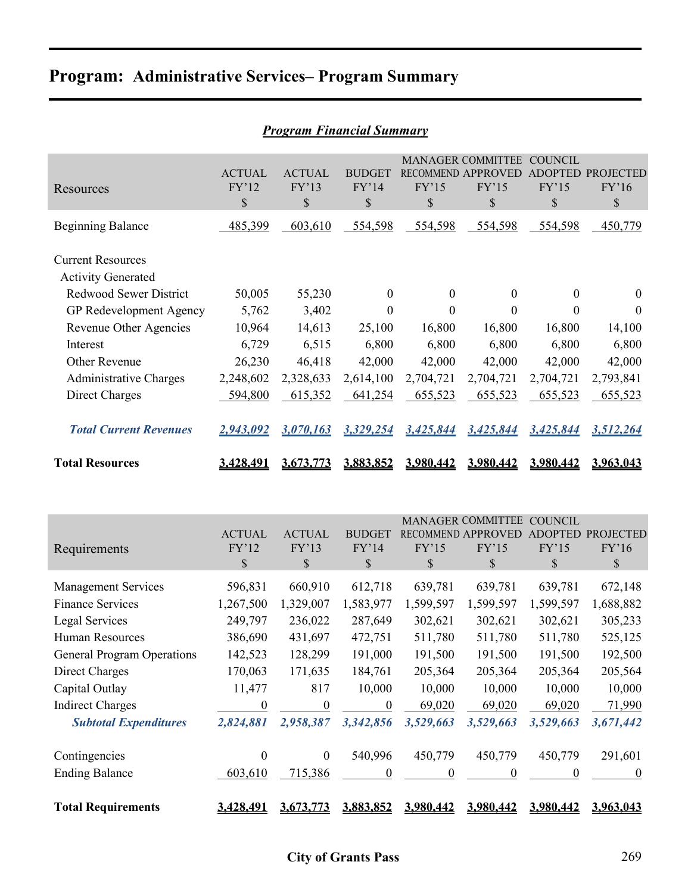|  | <b>Program: Administrative Services– Program Summary</b> |  |  |  |
|--|----------------------------------------------------------|--|--|--|
|--|----------------------------------------------------------|--|--|--|

| <u>Program Financial Summary</u>                      |                              |                              |                              |                  |                                                               |                                 |                                    |  |  |  |  |
|-------------------------------------------------------|------------------------------|------------------------------|------------------------------|------------------|---------------------------------------------------------------|---------------------------------|------------------------------------|--|--|--|--|
| Resources                                             | <b>ACTUAL</b><br>FY'12<br>\$ | <b>ACTUAL</b><br>FY'13<br>\$ | <b>BUDGET</b><br>FY'14<br>\$ | FY'15<br>\$      | <b>MANAGER COMMITTEE</b><br>RECOMMEND APPROVED<br>FY'15<br>\$ | <b>COUNCIL</b><br>FY'15<br>$\$$ | ADOPTED PROJECTED<br>FY'16<br>$\$$ |  |  |  |  |
| <b>Beginning Balance</b>                              | 485,399                      | 603,610                      | 554,598                      | 554,598          | 554,598                                                       | 554,598                         | 450,779                            |  |  |  |  |
| <b>Current Resources</b><br><b>Activity Generated</b> |                              |                              |                              |                  |                                                               |                                 |                                    |  |  |  |  |
| <b>Redwood Sewer District</b>                         | 50,005                       | 55,230                       | $\boldsymbol{0}$             | $\boldsymbol{0}$ | $\boldsymbol{0}$                                              | $\boldsymbol{0}$                | $\boldsymbol{0}$                   |  |  |  |  |
| GP Redevelopment Agency                               | 5,762                        | 3,402                        | $\Omega$                     | $\mathbf{0}$     | $\boldsymbol{0}$                                              | 0                               | $\theta$                           |  |  |  |  |
| Revenue Other Agencies                                | 10,964                       | 14,613                       | 25,100                       | 16,800           | 16,800                                                        | 16,800                          | 14,100                             |  |  |  |  |
| Interest                                              | 6,729                        | 6,515                        | 6,800                        | 6,800            | 6,800                                                         | 6,800                           | 6,800                              |  |  |  |  |
| Other Revenue                                         | 26,230                       | 46,418                       | 42,000                       | 42,000           | 42,000                                                        | 42,000                          | 42,000                             |  |  |  |  |
| <b>Administrative Charges</b>                         | 2,248,602                    | 2,328,633                    | 2,614,100                    | 2,704,721        | 2,704,721                                                     | 2,704,721                       | 2,793,841                          |  |  |  |  |
| Direct Charges                                        | 594,800                      | 615,352                      | 641,254                      | 655,523          | 655,523                                                       | 655,523                         | 655,523                            |  |  |  |  |
| <b>Total Current Revenues</b>                         | 2,943,092                    | 3,070,163                    | 3,329,254                    | 3,425,844        | 3,425,844                                                     | 3,425,844                       | 3,512,264                          |  |  |  |  |
| <b>Total Resources</b>                                | 3,428,491                    | 3,673,773                    | 3,883,852                    | 3,980,442        | 3,980,442                                                     | 3,980,442                       | 3,963,043                          |  |  |  |  |
|                                                       | <b>ACTUAL</b>                | <b>ACTUAL</b>                | <b>BUDGET</b>                |                  | MANAGER COMMITTEE COUNCIL<br>RECOMMEND APPROVED               |                                 | ADOPTED PROJECTED                  |  |  |  |  |
| Requirements                                          | FY'12                        | FY'13                        | FY'14                        | FY'15            | FY'15                                                         | FY'15                           | FY'16                              |  |  |  |  |
|                                                       | $\mathcal{S}$                | \$                           | \$                           | \$               | \$                                                            | \$                              | \$                                 |  |  |  |  |
| <b>Management Services</b>                            | 596,831                      | 660,910                      | 612,718                      | 639,781          | 639,781                                                       | 639,781                         | 672,148                            |  |  |  |  |
| <b>Finance Services</b>                               | 1,267,500                    | 1,329,007                    | 1,583,977                    | 1,599,597        | 1,599,597                                                     | 1,599,597                       | 1,688,882                          |  |  |  |  |
| Legal Services                                        | 249,797                      | 236,022                      | 287,649                      | 302,621          | 302,621                                                       | 302,621                         | 305,233                            |  |  |  |  |
| Human Resources                                       | 386,690                      | 431,697                      | 472,751                      | 511,780          | 511,780                                                       | 511,780                         | 525,125                            |  |  |  |  |
| <b>General Program Operations</b>                     | 142,523                      | 128,299                      | 191,000                      | 191,500          | 191,500                                                       | 191,500                         | 192,500                            |  |  |  |  |
| <b>Direct Charges</b>                                 | 170,063                      | 171,635                      | 184,761                      | 205,364          | 205,364                                                       | 205,364                         | 205,564                            |  |  |  |  |
| Capital Outlay                                        | 11,477                       | 817                          | 10,000                       | 10,000           | 10,000                                                        | 10,000                          | 10,000                             |  |  |  |  |
| <b>Indirect Charges</b>                               | $\overline{0}$               | $\overline{0}$               | $\overline{0}$               | 69,020           | 69,020                                                        | 69,020                          | 71,990                             |  |  |  |  |
| <b>Subtotal Expenditures</b>                          | 2,824,881                    | 2,958,387                    | 3,342,856                    | 3,529,663        | 3,529,663                                                     | 3,529,663                       | 3,671,442                          |  |  |  |  |
| Contingencies                                         | $\boldsymbol{0}$             | $\boldsymbol{0}$             | 540,996                      | 450,779          | 450,779                                                       | 450,779                         | 291,601                            |  |  |  |  |
| <b>Ending Balance</b>                                 | 603,610                      | 715,386                      | $\overline{0}$               | $\overline{0}$   | $\overline{0}$                                                | $\overline{0}$                  | $\overline{0}$                     |  |  |  |  |
|                                                       |                              |                              |                              |                  |                                                               |                                 |                                    |  |  |  |  |

#### *Program Financial Summary*

**Total Requirements 3,428,491 3,673,773 3,883,852 3,980,442 3,980,442 3,980,442 3,963,043**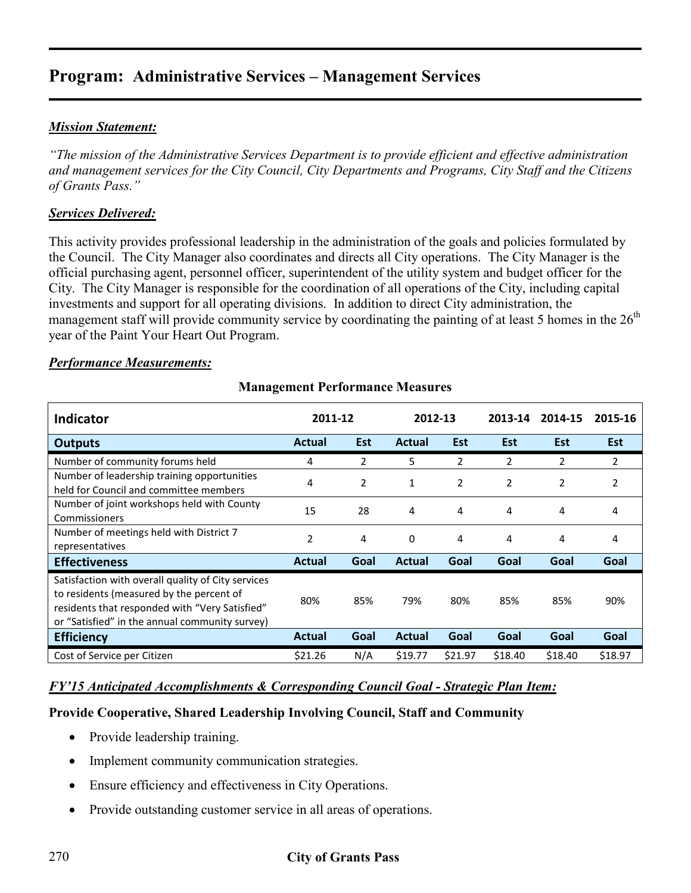#### *Mission Statement:*

*"The mission of the Administrative Services Department is to provide efficient and effective administration and management services for the City Council, City Departments and Programs, City Staff and the Citizens of Grants Pass."* 

#### *Services Delivered:*

This activity provides professional leadership in the administration of the goals and policies formulated by the Council. The City Manager also coordinates and directs all City operations. The City Manager is the official purchasing agent, personnel officer, superintendent of the utility system and budget officer for the City. The City Manager is responsible for the coordination of all operations of the City, including capital investments and support for all operating divisions. In addition to direct City administration, the management staff will provide community service by coordinating the painting of at least 5 homes in the  $26<sup>th</sup>$ year of the Paint Your Heart Out Program.

#### *Performance Measurements:*

| <b>Indicator</b>                                                                                                                                                                                   | 2011-12       |                | 2012-13       |            | 2013-14        | 2014-15    | 2015-16    |
|----------------------------------------------------------------------------------------------------------------------------------------------------------------------------------------------------|---------------|----------------|---------------|------------|----------------|------------|------------|
| <b>Outputs</b>                                                                                                                                                                                     | <b>Actual</b> | <b>Est</b>     | <b>Actual</b> | <b>Est</b> | <b>Est</b>     | <b>Est</b> | <b>Est</b> |
| Number of community forums held                                                                                                                                                                    | 4             | 2              | 5             | 2          | 2              | 2          | 2          |
| Number of leadership training opportunities<br>held for Council and committee members                                                                                                              | 4             | $\overline{2}$ | $\mathbf{1}$  | 2          | $\overline{2}$ | 2          | 2          |
| Number of joint workshops held with County<br>Commissioners                                                                                                                                        | 15            | 28             | 4             | 4          | 4              | 4          | 4          |
| Number of meetings held with District 7<br>representatives                                                                                                                                         | 2             | 4              | 0             | 4          | 4              | 4          | 4          |
| <b>Effectiveness</b>                                                                                                                                                                               | Actual        | Goal           | <b>Actual</b> | Goal       | Goal           | Goal       | Goal       |
| Satisfaction with overall quality of City services<br>to residents (measured by the percent of<br>residents that responded with "Very Satisfied"<br>or "Satisfied" in the annual community survey) | 80%           | 85%            | 79%           | 80%        | 85%            | 85%        | 90%        |
| <b>Efficiency</b>                                                                                                                                                                                  | Actual        | Goal           | <b>Actual</b> | Goal       | Goal           | Goal       | Goal       |
| Cost of Service per Citizen                                                                                                                                                                        | \$21.26       | N/A            | \$19.77       | \$21.97    | \$18.40        | \$18.40    | \$18.97    |

#### **Management Performance Measures**

#### *FY'15 Anticipated Accomplishments & Corresponding Council Goal - Strategic Plan Item:*

#### **Provide Cooperative, Shared Leadership Involving Council, Staff and Community**

- Provide leadership training.
- Implement community communication strategies.
- Ensure efficiency and effectiveness in City Operations.
- Provide outstanding customer service in all areas of operations.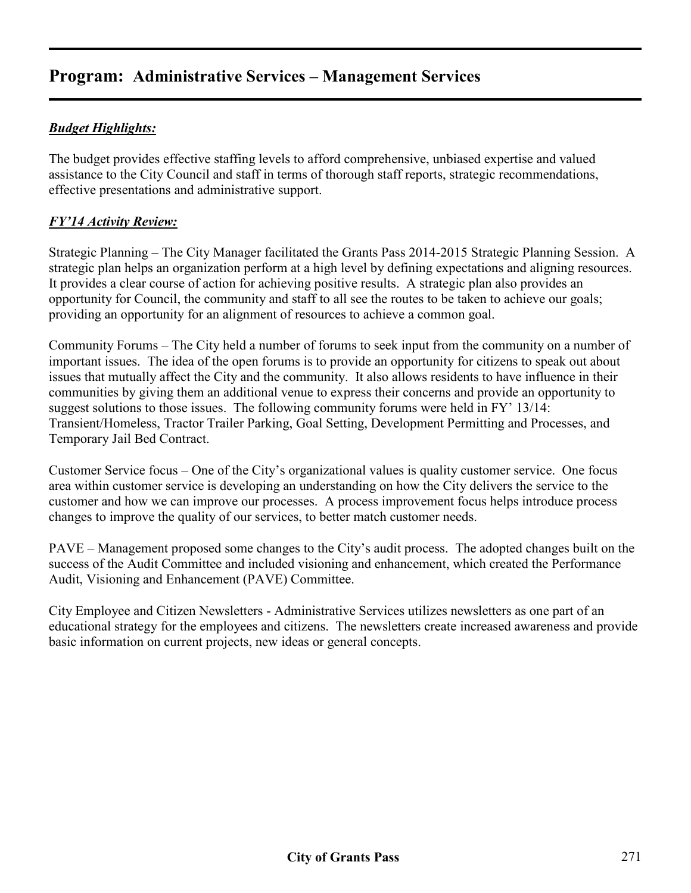#### *Budget Highlights:*

The budget provides effective staffing levels to afford comprehensive, unbiased expertise and valued assistance to the City Council and staff in terms of thorough staff reports, strategic recommendations, effective presentations and administrative support.

#### *FY'14 Activity Review:*

Strategic Planning – The City Manager facilitated the Grants Pass 2014-2015 Strategic Planning Session. A strategic plan helps an organization perform at a high level by defining expectations and aligning resources. It provides a clear course of action for achieving positive results. A strategic plan also provides an opportunity for Council, the community and staff to all see the routes to be taken to achieve our goals; providing an opportunity for an alignment of resources to achieve a common goal.

Community Forums – The City held a number of forums to seek input from the community on a number of important issues. The idea of the open forums is to provide an opportunity for citizens to speak out about issues that mutually affect the City and the community. It also allows residents to have influence in their communities by giving them an additional venue to express their concerns and provide an opportunity to suggest solutions to those issues. The following community forums were held in FY' 13/14: Transient/Homeless, Tractor Trailer Parking, Goal Setting, Development Permitting and Processes, and Temporary Jail Bed Contract.

Customer Service focus – One of the City's organizational values is quality customer service. One focus area within customer service is developing an understanding on how the City delivers the service to the customer and how we can improve our processes. A process improvement focus helps introduce process changes to improve the quality of our services, to better match customer needs.

PAVE – Management proposed some changes to the City's audit process. The adopted changes built on the success of the Audit Committee and included visioning and enhancement, which created the Performance Audit, Visioning and Enhancement (PAVE) Committee.

City Employee and Citizen Newsletters - Administrative Services utilizes newsletters as one part of an educational strategy for the employees and citizens. The newsletters create increased awareness and provide basic information on current projects, new ideas or general concepts.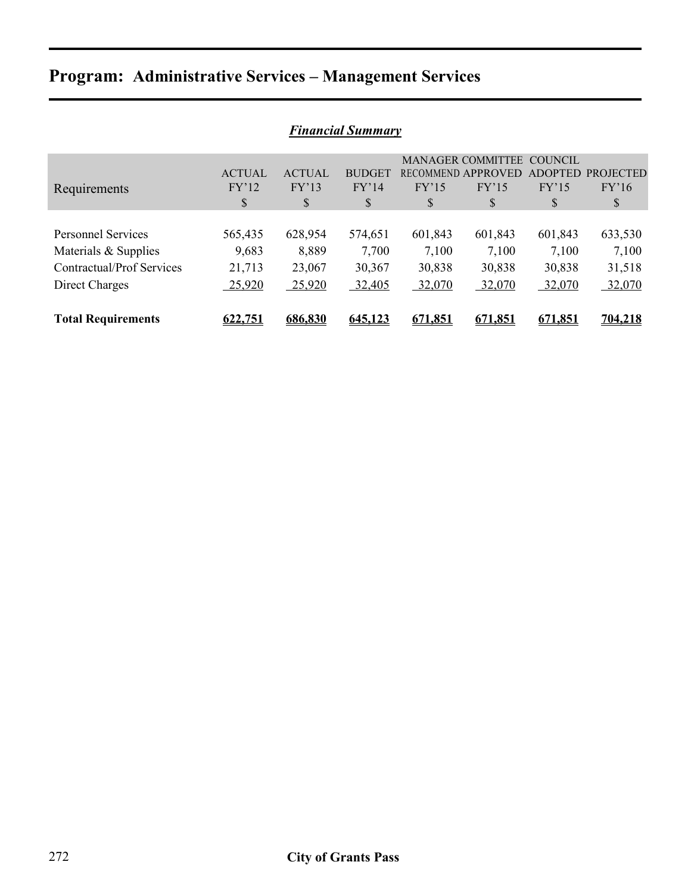| <b>Financial Summary</b>  |               |               |               |         |                          |                |                  |  |  |  |
|---------------------------|---------------|---------------|---------------|---------|--------------------------|----------------|------------------|--|--|--|
|                           |               |               |               |         | <b>MANAGER COMMITTEE</b> | <b>COUNCIL</b> |                  |  |  |  |
|                           | <b>ACTUAL</b> | <b>ACTUAL</b> | <b>BUDGET</b> |         | RECOMMEND APPROVED       | <b>ADOPTED</b> | <b>PROJECTED</b> |  |  |  |
| Requirements              | FY'12         | FY'13         | FY'14         | FY'15   | FY'15                    | FY'15          | FY'16            |  |  |  |
|                           | \$            | \$            | \$            | \$      | \$                       | S              | \$               |  |  |  |
|                           |               |               |               |         |                          |                |                  |  |  |  |
| <b>Personnel Services</b> | 565,435       | 628,954       | 574,651       | 601,843 | 601,843                  | 601,843        | 633,530          |  |  |  |
| Materials & Supplies      | 9,683         | 8,889         | 7,700         | 7,100   | 7,100                    | 7,100          | 7,100            |  |  |  |
| Contractual/Prof Services | 21,713        | 23,067        | 30,367        | 30,838  | 30,838                   | 30,838         | 31,518           |  |  |  |
| Direct Charges            | 25,920        | 25,920        | 32,405        | 32,070  | 32,070                   | 32,070         | 32,070           |  |  |  |
|                           |               |               |               |         |                          |                |                  |  |  |  |
| <b>Total Requirements</b> | 622.751       | 686.830       | 645.123       | 671.851 | 671.851                  | 671.851        | 704,218          |  |  |  |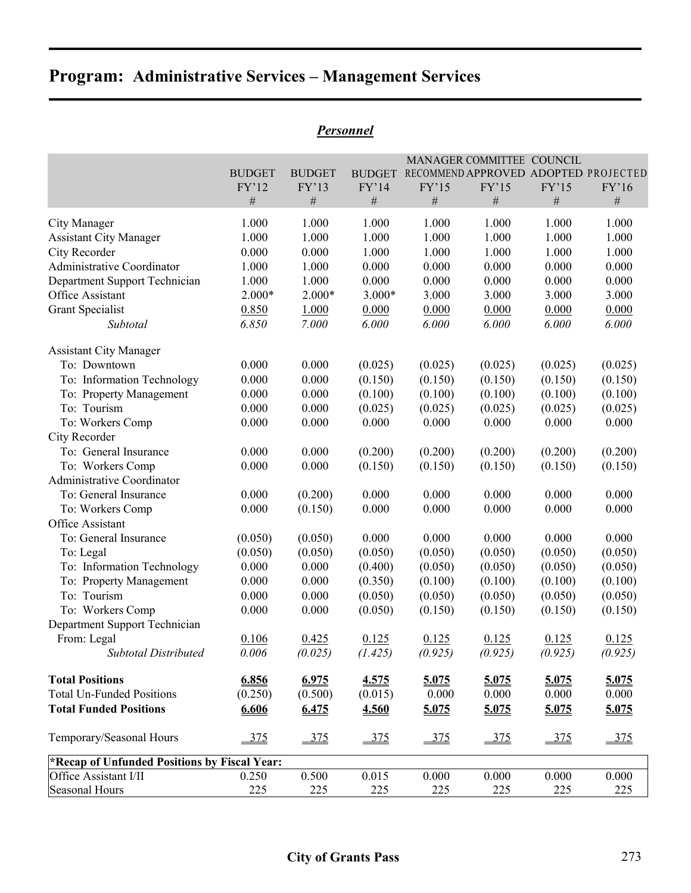| <b>BUDGET</b> | <b>BUDGET</b>  | <b>BUDGET</b>                                                  |                  |                           |                           |                                                                                     |
|---------------|----------------|----------------------------------------------------------------|------------------|---------------------------|---------------------------|-------------------------------------------------------------------------------------|
| FY'12         | FY'13          | FY'14                                                          | FY'15            | FY'15                     | FY'15                     | FY'16                                                                               |
| $\#$          | $\#$           | $\#$                                                           | $\#$             | $\#$                      | $\#$                      | $\#$                                                                                |
| 1.000         | 1.000          | 1.000                                                          | 1.000            | 1.000                     | 1.000                     | 1.000                                                                               |
| 1.000         | 1.000          | 1.000                                                          | 1.000            | 1.000                     | 1.000                     | 1.000                                                                               |
| 0.000         | 0.000          | 1.000                                                          | 1.000            | 1.000                     | 1.000                     | 1.000                                                                               |
| 1.000         | 1.000          | 0.000                                                          | 0.000            | 0.000                     | 0.000                     | 0.000                                                                               |
| 1.000         | 1.000          | 0.000                                                          | 0.000            | 0.000                     | 0.000                     | 0.000                                                                               |
| 2.000*        | $2.000*$       | 3.000*                                                         | 3.000            | 3.000                     | 3.000                     | 3.000                                                                               |
| 0.850         | 1.000          | 0.000                                                          | 0.000            | 0.000                     | 0.000                     | 0.000                                                                               |
| 6.850         | 7.000          | 6.000                                                          | 6.000            | 6.000                     | 6.000                     | 6.000                                                                               |
|               |                |                                                                |                  |                           |                           |                                                                                     |
| 0.000         | 0.000          | (0.025)                                                        | (0.025)          | (0.025)                   | (0.025)                   | (0.025)                                                                             |
| 0.000         | 0.000          | (0.150)                                                        | (0.150)          | (0.150)                   | (0.150)                   | (0.150)                                                                             |
| 0.000         | 0.000          | (0.100)                                                        | (0.100)          | (0.100)                   | (0.100)                   | (0.100)                                                                             |
| 0.000         | 0.000          | (0.025)                                                        | (0.025)          | (0.025)                   | (0.025)                   | (0.025)                                                                             |
| 0.000         | 0.000          | 0.000                                                          | 0.000            | 0.000                     | 0.000                     | 0.000                                                                               |
|               |                |                                                                |                  |                           |                           |                                                                                     |
| 0.000         | 0.000          | (0.200)                                                        | (0.200)          | (0.200)                   | (0.200)                   | (0.200)                                                                             |
| 0.000         | 0.000          | (0.150)                                                        | (0.150)          | (0.150)                   | (0.150)                   | (0.150)                                                                             |
|               |                |                                                                |                  |                           |                           |                                                                                     |
| 0.000         | (0.200)        | 0.000                                                          | 0.000            | 0.000                     | 0.000                     | 0.000                                                                               |
| 0.000         | (0.150)        | 0.000                                                          | 0.000            | 0.000                     | 0.000                     | 0.000                                                                               |
|               |                |                                                                |                  |                           |                           |                                                                                     |
| (0.050)       | (0.050)        | 0.000                                                          | 0.000            | 0.000                     | 0.000                     | 0.000                                                                               |
| (0.050)       | (0.050)        | (0.050)                                                        | (0.050)          | (0.050)                   | (0.050)                   | (0.050)                                                                             |
| 0.000         | 0.000          | (0.400)                                                        | (0.050)          | (0.050)                   | (0.050)                   | (0.050)                                                                             |
| 0.000         | 0.000          | (0.350)                                                        | (0.100)          | (0.100)                   | (0.100)                   | (0.100)                                                                             |
| 0.000         | 0.000          |                                                                |                  |                           | (0.050)                   | (0.050)                                                                             |
| 0.000         | 0.000          | (0.050)                                                        | (0.150)          | (0.150)                   | (0.150)                   | (0.150)                                                                             |
|               |                |                                                                |                  |                           |                           |                                                                                     |
|               |                |                                                                |                  |                           |                           | 0.125                                                                               |
| 0.006         | (0.025)        | (1.425)                                                        | (0.925)          | (0.925)                   | (0.925)                   | (0.925)                                                                             |
|               |                | 4.575                                                          |                  |                           |                           | 5.075                                                                               |
| (0.250)       | (0.500)        | (0.015)                                                        | 0.000            | 0.000                     | 0.000                     | 0.000                                                                               |
| 6.606         | 6.475          | 4.560                                                          | 5.075            | 5.075                     | 5.075                     | 5.075                                                                               |
| 375           | 375            | $-375$                                                         | 375              | $-375$                    | 375                       | 375                                                                                 |
|               |                |                                                                |                  |                           |                           |                                                                                     |
| 0.250         | 0.500          | 0.015                                                          | 0.000            | 0.000                     | 0.000                     | 0.000                                                                               |
| 225           | 225            | 225                                                            | 225              | 225                       | 225                       | 225                                                                                 |
|               | 0.106<br>6.856 | 0.425<br>6.975<br>*Recap of Unfunded Positions by Fiscal Year: | (0.050)<br>0.125 | (0.050)<br>0.125<br>5.075 | (0.050)<br>0.125<br>5.075 | MANAGER COMMITTEE COUNCIL<br>RECOMMEND APPROVED ADOPTED PROJECTED<br>0.125<br>5.075 |

### *Personnel*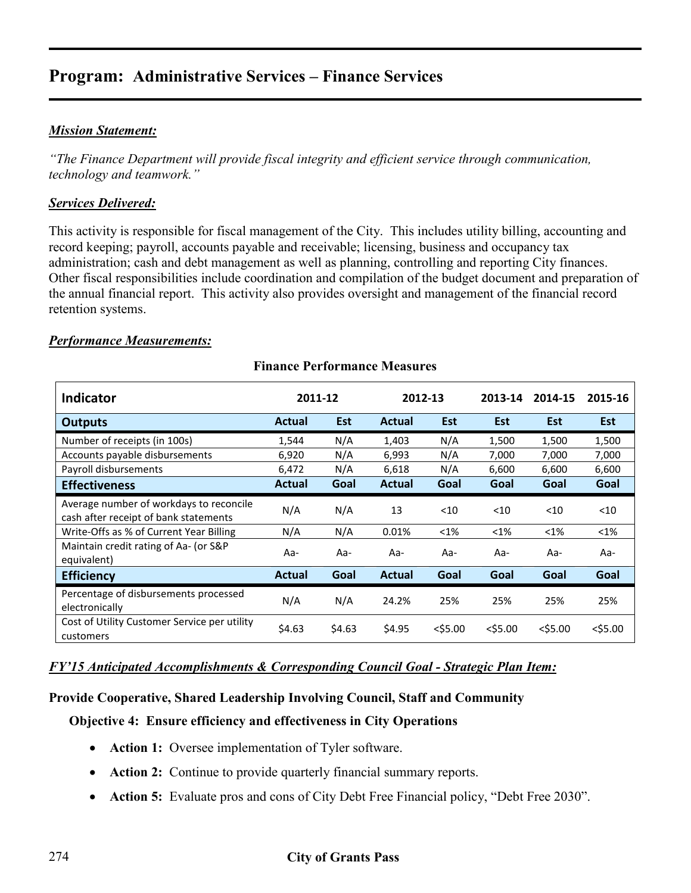#### *Mission Statement:*

*"The Finance Department will provide fiscal integrity and efficient service through communication, technology and teamwork."* 

#### *Services Delivered:*

This activity is responsible for fiscal management of the City. This includes utility billing, accounting and record keeping; payroll, accounts payable and receivable; licensing, business and occupancy tax administration; cash and debt management as well as planning, controlling and reporting City finances. Other fiscal responsibilities include coordination and compilation of the budget document and preparation of the annual financial report. This activity also provides oversight and management of the financial record retention systems.

#### *Performance Measurements:*

| <b>Indicator</b>                                                                 | 2011-12       |            |               | 2012-13    | 2013-14    | 2014-15    | 2015-16    |
|----------------------------------------------------------------------------------|---------------|------------|---------------|------------|------------|------------|------------|
| <b>Outputs</b>                                                                   | Actual        | <b>Est</b> | Actual        | <b>Est</b> | <b>Est</b> | <b>Est</b> | <b>Est</b> |
| Number of receipts (in 100s)                                                     | 1,544         | N/A        | 1,403         | N/A        | 1,500      | 1,500      | 1,500      |
| Accounts payable disbursements                                                   | 6,920         | N/A        | 6,993         | N/A        | 7,000      | 7,000      | 7,000      |
| Payroll disbursements                                                            | 6,472         | N/A        | 6,618         | N/A        | 6,600      | 6,600      | 6,600      |
| <b>Effectiveness</b>                                                             | Actual        | Goal       | <b>Actual</b> | Goal       | Goal       | Goal       | Goal       |
| Average number of workdays to reconcile<br>cash after receipt of bank statements | N/A           | N/A        | 13            | < 10       | $<$ 10     | $<$ 10     | $<$ 10     |
| Write-Offs as % of Current Year Billing                                          | N/A           | N/A        | 0.01%         | $< 1\%$    | $< 1\%$    | $< 1\%$    | $<$ 1%     |
| Maintain credit rating of Aa- (or S&P<br>equivalent)                             | Aa-           | Aa-        | Aa-           | Aa-        | Aa-        | Aa-        | Aa-        |
| <b>Efficiency</b>                                                                | <b>Actual</b> | Goal       | <b>Actual</b> | Goal       | Goal       | Goal       | Goal       |
| Percentage of disbursements processed<br>electronically                          | N/A           | N/A        | 24.2%         | 25%        | 25%        | 25%        | 25%        |
| Cost of Utility Customer Service per utility<br>customers                        | \$4.63        | \$4.63     | \$4.95        | $<$ \$5.00 | $<$ \$5.00 | $<$ \$5.00 | $<$ \$5.00 |

#### **Finance Performance Measures**

#### *FY'15 Anticipated Accomplishments & Corresponding Council Goal - Strategic Plan Item:*

#### **Provide Cooperative, Shared Leadership Involving Council, Staff and Community**

#### **Objective 4: Ensure efficiency and effectiveness in City Operations**

- **Action 1:** Oversee implementation of Tyler software.
- **Action 2:** Continue to provide quarterly financial summary reports.
- **Action 5:** Evaluate pros and cons of City Debt Free Financial policy, "Debt Free 2030".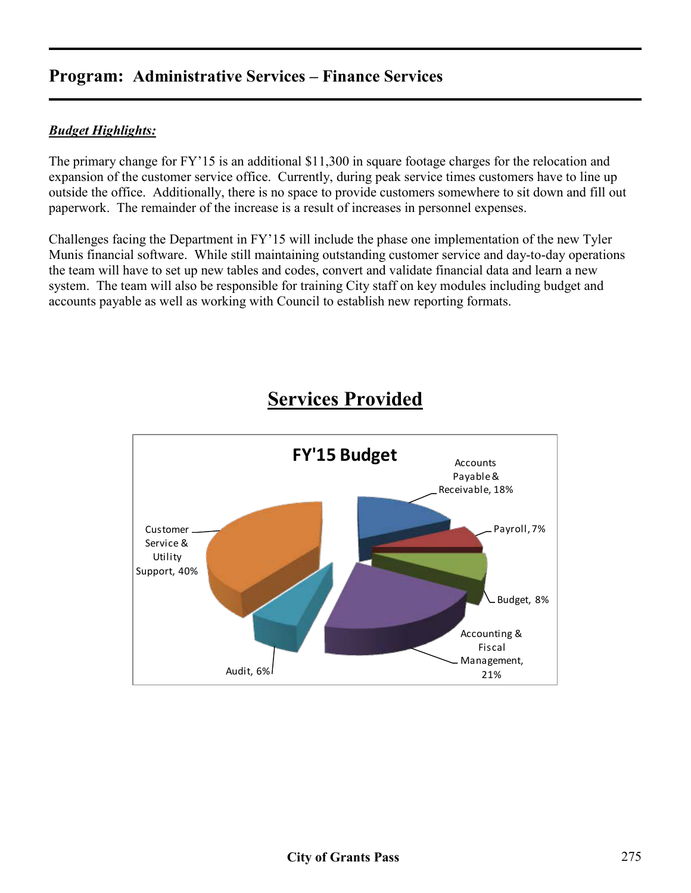#### *Budget Highlights:*

The primary change for FY'15 is an additional \$11,300 in square footage charges for the relocation and expansion of the customer service office. Currently, during peak service times customers have to line up outside the office. Additionally, there is no space to provide customers somewhere to sit down and fill out paperwork. The remainder of the increase is a result of increases in personnel expenses.

Challenges facing the Department in FY'15 will include the phase one implementation of the new Tyler Munis financial software. While still maintaining outstanding customer service and day-to-day operations the team will have to set up new tables and codes, convert and validate financial data and learn a new system. The team will also be responsible for training City staff on key modules including budget and accounts payable as well as working with Council to establish new reporting formats.



## **Services Provided**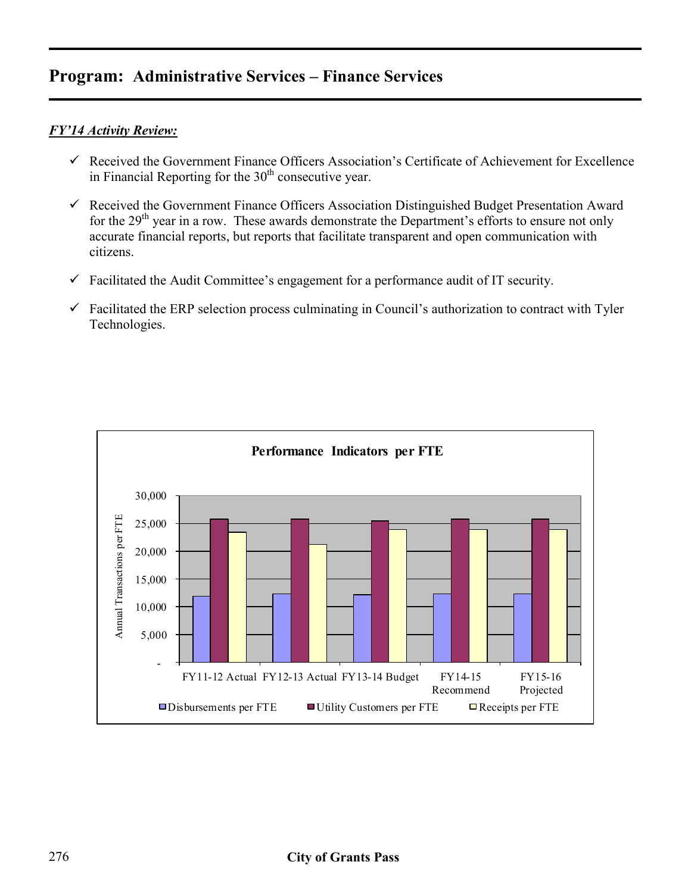#### *FY'14 Activity Review:*

- $\checkmark$  Received the Government Finance Officers Association's Certificate of Achievement for Excellence in Financial Reporting for the  $30<sup>th</sup>$  consecutive year.
- $\checkmark$  Received the Government Finance Officers Association Distinguished Budget Presentation Award for the 29<sup>th</sup> year in a row. These awards demonstrate the Department's efforts to ensure not only accurate financial reports, but reports that facilitate transparent and open communication with citizens.
- $\checkmark$  Facilitated the Audit Committee's engagement for a performance audit of IT security.
- $\checkmark$  Facilitated the ERP selection process culminating in Council's authorization to contract with Tyler Technologies.

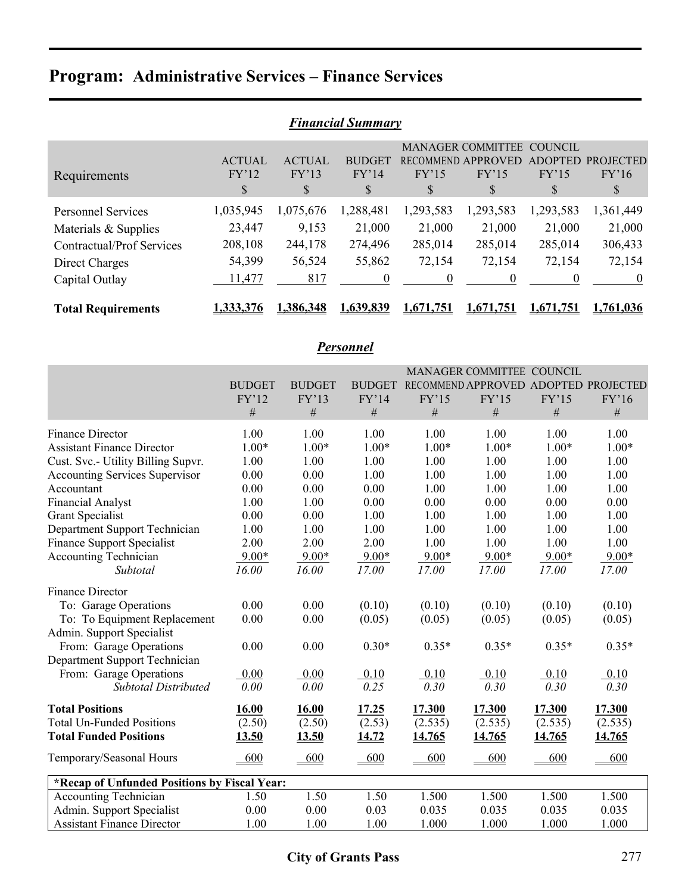| <b>Financial Summary</b>         |                  |                           |               |                  |                    |                |                  |  |  |  |
|----------------------------------|------------------|---------------------------|---------------|------------------|--------------------|----------------|------------------|--|--|--|
|                                  |                  | MANAGER COMMITTEE COUNCIL |               |                  |                    |                |                  |  |  |  |
|                                  | <b>ACTUAL</b>    | <b>ACTUAL</b>             | <b>BUDGET</b> |                  | RECOMMEND APPROVED | <b>ADOPTED</b> | <b>PROJECTED</b> |  |  |  |
| Requirements                     | FY'12            | FY'13                     | FY'14         | FY'15            | FY'15              | FY'15          | FY'16            |  |  |  |
|                                  | \$               | \$                        | <sup>S</sup>  | \$               | \$                 | S              | S                |  |  |  |
| <b>Personnel Services</b>        | 1,035,945        | 1,075,676                 | 1,288,481     | 1,293,583        | 1,293,583          | 1,293,583      | 1,361,449        |  |  |  |
| Materials & Supplies             | 23,447           | 9,153                     | 21,000        | 21,000           | 21,000             | 21,000         | 21,000           |  |  |  |
| <b>Contractual/Prof Services</b> | 208,108          | 244,178                   | 274,496       | 285,014          | 285,014            | 285,014        | 306,433          |  |  |  |
| Direct Charges                   | 54,399           | 56,524                    | 55,862        | 72,154           | 72,154             | 72,154         | 72,154           |  |  |  |
| Capital Outlay                   | 11,477           | 817                       | $\theta$      | $\theta$         | $\theta$           | 0              | $\theta$         |  |  |  |
| <b>Total Requirements</b>        | <u>1,333,376</u> | <u>1,386,348</u>          | 1,639,839     | <u>1,671,751</u> | 1,671,751          | 1,671,751      | 1,761,036        |  |  |  |

### *Personnel*

|                                              |               |               |               |         | MANAGER COMMITTEE COUNCIL            |         |         |
|----------------------------------------------|---------------|---------------|---------------|---------|--------------------------------------|---------|---------|
|                                              | <b>BUDGET</b> | <b>BUDGET</b> | <b>BUDGET</b> |         | RECOMMEND APPROVED ADOPTED PROJECTED |         |         |
|                                              | FY'12         | FY'13         | FY'14         | FY'15   | FY'15                                | FY'15   | FY'16   |
|                                              | #             | $\#$          | #             | $\#$    | #                                    | $\#$    | $\#$    |
| <b>Finance Director</b>                      | 1.00          | 1.00          | 1.00          | 1.00    | 1.00                                 | 1.00    | 1.00    |
| <b>Assistant Finance Director</b>            | $1.00*$       | $1.00*$       | $1.00*$       | $1.00*$ | $1.00*$                              | $1.00*$ | $1.00*$ |
| Cust. Svc.- Utility Billing Supvr.           | 1.00          | 1.00          | 1.00          | 1.00    | 1.00                                 | 1.00    | 1.00    |
| Accounting Services Supervisor               | 0.00          | 0.00          | 1.00          | 1.00    | 1.00                                 | 1.00    | 1.00    |
| Accountant                                   | 0.00          | 0.00          | 0.00          | 1.00    | 1.00                                 | 1.00    | 1.00    |
| <b>Financial Analyst</b>                     | 1.00          | 1.00          | 0.00          | 0.00    | 0.00                                 | 0.00    | 0.00    |
| <b>Grant Specialist</b>                      | 0.00          | 0.00          | 1.00          | 1.00    | 1.00                                 | 1.00    | 1.00    |
| Department Support Technician                | 1.00          | 1.00          | 1.00          | 1.00    | 1.00                                 | 1.00    | 1.00    |
| <b>Finance Support Specialist</b>            | 2.00          | 2.00          | 2.00          | 1.00    | 1.00                                 | 1.00    | 1.00    |
| <b>Accounting Technician</b>                 | $9.00*$       | $9.00*$       | $9.00*$       | $9.00*$ | $9.00*$                              | $9.00*$ | $9.00*$ |
| Subtotal                                     | 16.00         | 16.00         | 17.00         | 17.00   | 17.00                                | 17.00   | 17.00   |
| <b>Finance Director</b>                      |               |               |               |         |                                      |         |         |
| To: Garage Operations                        | 0.00          | 0.00          | (0.10)        | (0.10)  | (0.10)                               | (0.10)  | (0.10)  |
| To: To Equipment Replacement                 | 0.00          | 0.00          | (0.05)        | (0.05)  | (0.05)                               | (0.05)  | (0.05)  |
| Admin. Support Specialist                    |               |               |               |         |                                      |         |         |
| From: Garage Operations                      | 0.00          | 0.00          | $0.30*$       | $0.35*$ | $0.35*$                              | $0.35*$ | $0.35*$ |
| Department Support Technician                |               |               |               |         |                                      |         |         |
| From: Garage Operations                      | 0.00          | 0.00          | 0.10          | 0.10    | 0.10                                 | 0.10    | 0.10    |
| <b>Subtotal Distributed</b>                  | 0.00          | 0.00          | 0.25          | 0.30    | 0.30                                 | 0.30    | 0.30    |
| <b>Total Positions</b>                       | 16.00         | 16.00         | 17.25         | 17.300  | 17.300                               | 17.300  | 17.300  |
| <b>Total Un-Funded Positions</b>             | (2.50)        | (2.50)        | (2.53)        | (2.535) | (2.535)                              | (2.535) | (2.535) |
| <b>Total Funded Positions</b>                | 13.50         | 13.50         | 14.72         | 14.765  | 14.765                               | 14.765  | 14.765  |
| Temporary/Seasonal Hours                     | 600           | 600           | 600           | 600     | 600                                  | 600     | 600     |
| *Recap of Unfunded Positions by Fiscal Year: |               |               |               |         |                                      |         |         |
| <b>Accounting Technician</b>                 | 1.50          | 1.50          | 1.50          | 1.500   | 1.500                                | 1.500   | 1.500   |
| Admin. Support Specialist                    | 0.00          | 0.00          | 0.03          | 0.035   | 0.035                                | 0.035   | 0.035   |
| <b>Assistant Finance Director</b>            | 1.00          | 1.00          | 1.00          | 1.000   | 1.000                                | 1.000   | 1.000   |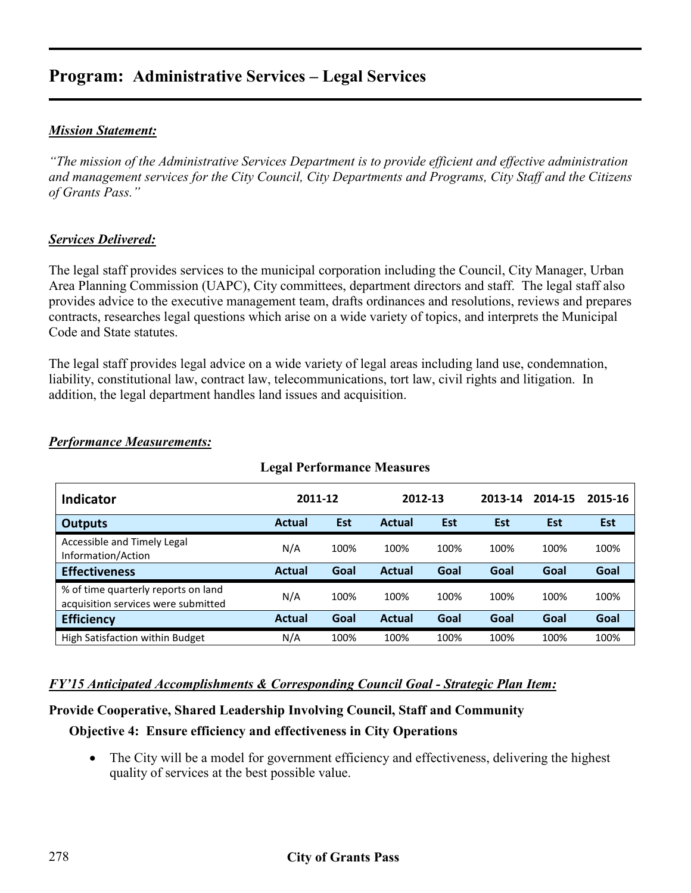#### *Mission Statement:*

*"The mission of the Administrative Services Department is to provide efficient and effective administration and management services for the City Council, City Departments and Programs, City Staff and the Citizens of Grants Pass."* 

#### *Services Delivered:*

The legal staff provides services to the municipal corporation including the Council, City Manager, Urban Area Planning Commission (UAPC), City committees, department directors and staff. The legal staff also provides advice to the executive management team, drafts ordinances and resolutions, reviews and prepares contracts, researches legal questions which arise on a wide variety of topics, and interprets the Municipal Code and State statutes.

The legal staff provides legal advice on a wide variety of legal areas including land use, condemnation, liability, constitutional law, contract law, telecommunications, tort law, civil rights and litigation. In addition, the legal department handles land issues and acquisition.

| <b>Legal Performance Measures</b>                                          |               |            |         |      |         |            |            |  |  |  |
|----------------------------------------------------------------------------|---------------|------------|---------|------|---------|------------|------------|--|--|--|
| <b>Indicator</b>                                                           | 2011-12       |            | 2012-13 |      | 2013-14 | 2014-15    | 2015-16    |  |  |  |
| <b>Outputs</b>                                                             | <b>Actual</b> | <b>Est</b> | Actual  | Est  | Est     | <b>Est</b> | <b>Est</b> |  |  |  |
| Accessible and Timely Legal<br>Information/Action                          | N/A           | 100%       | 100%    | 100% | 100%    | 100%       | 100%       |  |  |  |
| <b>Effectiveness</b>                                                       | <b>Actual</b> | Goal       | Actual  | Goal | Goal    | Goal       | Goal       |  |  |  |
| % of time quarterly reports on land<br>acquisition services were submitted | N/A           | 100%       | 100%    | 100% | 100%    | 100%       | 100%       |  |  |  |
| <b>Efficiency</b>                                                          | <b>Actual</b> | Goal       | Actual  | Goal | Goal    | Goal       | Goal       |  |  |  |
| High Satisfaction within Budget                                            | N/A           | 100%       | 100%    | 100% | 100%    | 100%       | 100%       |  |  |  |

#### *Performance Measurements:*

#### *FY'15 Anticipated Accomplishments & Corresponding Council Goal - Strategic Plan Item:*

#### **Provide Cooperative, Shared Leadership Involving Council, Staff and Community**

#### **Objective 4: Ensure efficiency and effectiveness in City Operations**

• The City will be a model for government efficiency and effectiveness, delivering the highest quality of services at the best possible value.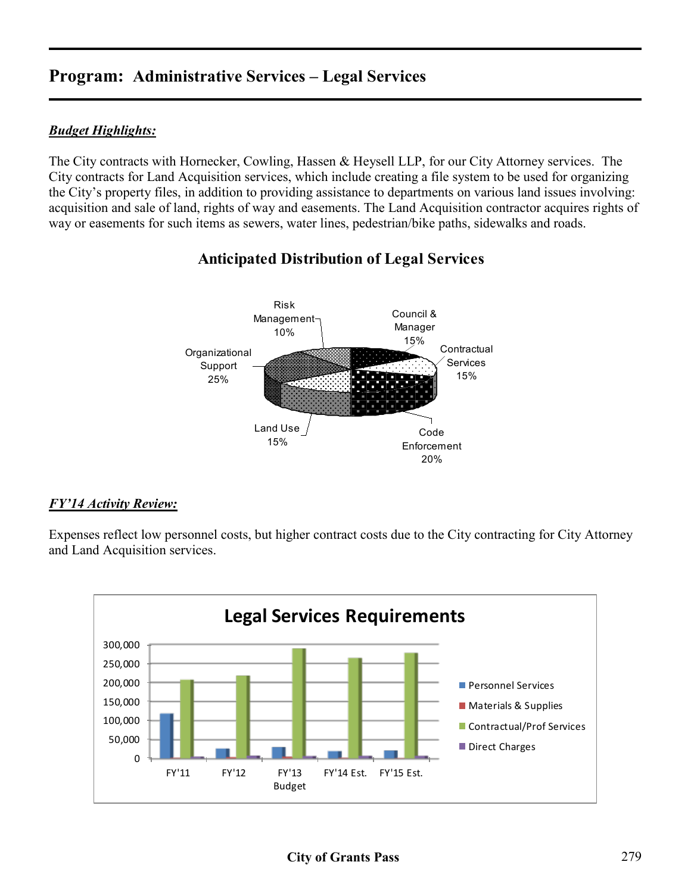#### *Budget Highlights:*

The City contracts with Hornecker, Cowling, Hassen & Heysell LLP, for our City Attorney services. The City contracts for Land Acquisition services, which include creating a file system to be used for organizing the City's property files, in addition to providing assistance to departments on various land issues involving: acquisition and sale of land, rights of way and easements. The Land Acquisition contractor acquires rights of way or easements for such items as sewers, water lines, pedestrian/bike paths, sidewalks and roads.

### **Anticipated Distribution of Legal Services**



#### *FY'14 Activity Review:*

Expenses reflect low personnel costs, but higher contract costs due to the City contracting for City Attorney and Land Acquisition services.

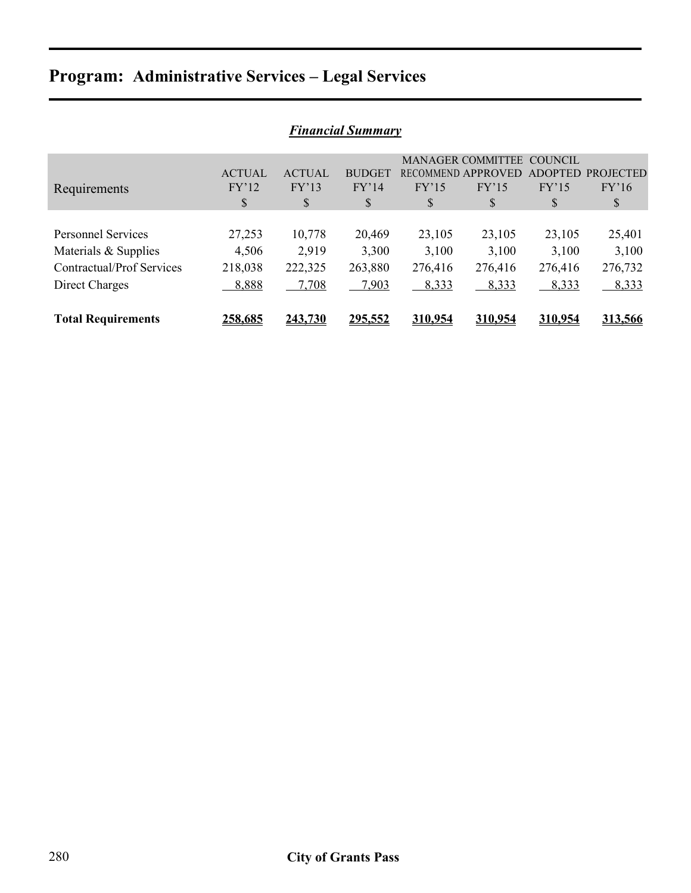| <b>Financial Summary</b>  |               |               |               |         |                          |                |                  |  |  |  |
|---------------------------|---------------|---------------|---------------|---------|--------------------------|----------------|------------------|--|--|--|
|                           |               |               |               |         | <b>MANAGER COMMITTEE</b> | COUNCIL        |                  |  |  |  |
|                           | <b>ACTUAL</b> | <b>ACTUAL</b> | <b>BUDGET</b> |         | RECOMMEND APPROVED       | <b>ADOPTED</b> | <b>PROJECTED</b> |  |  |  |
| Requirements              | FY'12         | FY'13         | FY'14         | FY'15   | FY'15                    | FY'15          | FY'16            |  |  |  |
|                           | \$            | \$            | \$            | \$      | \$                       | \$             | \$               |  |  |  |
|                           |               |               |               |         |                          |                |                  |  |  |  |
| <b>Personnel Services</b> | 27,253        | 10,778        | 20,469        | 23,105  | 23,105                   | 23,105         | 25,401           |  |  |  |
| Materials $&$ Supplies    | 4,506         | 2.919         | 3,300         | 3,100   | 3,100                    | 3,100          | 3,100            |  |  |  |
| Contractual/Prof Services | 218,038       | 222,325       | 263,880       | 276,416 | 276,416                  | 276,416        | 276,732          |  |  |  |
| Direct Charges            | 8,888         | 7,708         | 7,903         | 8,333   | 8,333                    | 8,333          | 8,333            |  |  |  |
|                           |               |               |               |         |                          |                |                  |  |  |  |
| <b>Total Requirements</b> | 258.685       | 243.730       | 295,552       | 310.954 | 310.954                  | <u>310.954</u> | 313,566          |  |  |  |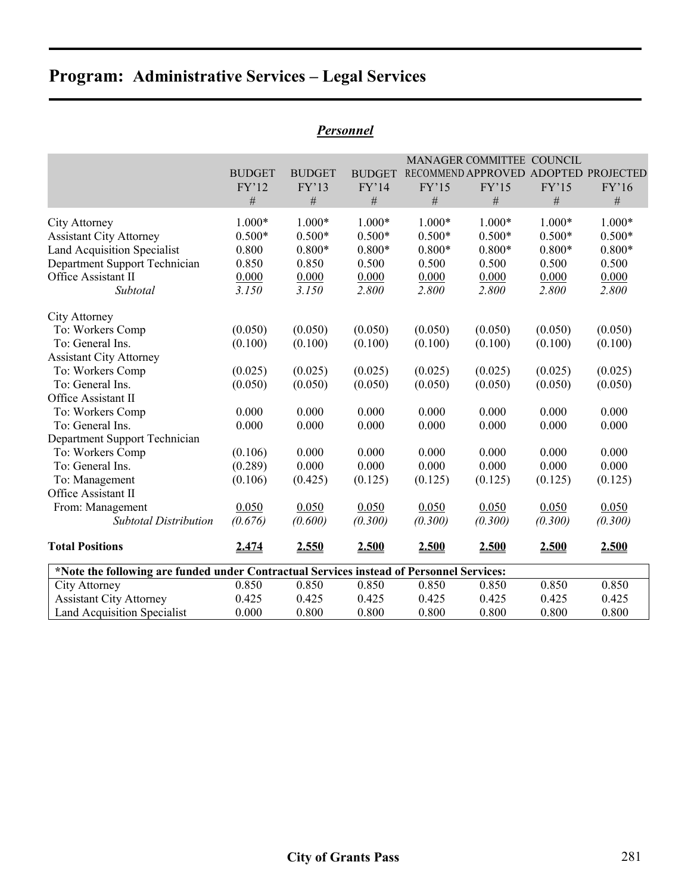|                                                                                          |               |               |               |          | MANAGER COMMITTEE COUNCIL            |          |          |
|------------------------------------------------------------------------------------------|---------------|---------------|---------------|----------|--------------------------------------|----------|----------|
|                                                                                          | <b>BUDGET</b> | <b>BUDGET</b> | <b>BUDGET</b> |          | RECOMMEND APPROVED ADOPTED PROJECTED |          |          |
|                                                                                          | FY'12         | FY'13         | FY'14         | FY'15    | FY'15                                | FY'15    | FY'16    |
|                                                                                          | $\#$          | $\#$          | $\#$          | $\#$     | $\#$                                 | $\#$     | $\#$     |
| City Attorney                                                                            | $1.000*$      | $1.000*$      | $1.000*$      | $1.000*$ | $1.000*$                             | $1.000*$ | $1.000*$ |
| <b>Assistant City Attorney</b>                                                           | $0.500*$      | $0.500*$      | $0.500*$      | $0.500*$ | $0.500*$                             | $0.500*$ | $0.500*$ |
| <b>Land Acquisition Specialist</b>                                                       | 0.800         | $0.800*$      | $0.800*$      | $0.800*$ | $0.800*$                             | $0.800*$ | $0.800*$ |
| Department Support Technician                                                            | 0.850         | 0.850         | 0.500         | 0.500    | 0.500                                | 0.500    | 0.500    |
| Office Assistant II                                                                      | 0.000         | 0.000         | 0.000         | 0.000    | 0.000                                | 0.000    | 0.000    |
| Subtotal                                                                                 | 3.150         | 3.150         | 2.800         | 2.800    | 2.800                                | 2.800    | 2.800    |
| City Attorney                                                                            |               |               |               |          |                                      |          |          |
| To: Workers Comp                                                                         | (0.050)       | (0.050)       | (0.050)       | (0.050)  | (0.050)                              | (0.050)  | (0.050)  |
| To: General Ins.                                                                         | (0.100)       | (0.100)       | (0.100)       | (0.100)  | (0.100)                              | (0.100)  | (0.100)  |
| <b>Assistant City Attorney</b>                                                           |               |               |               |          |                                      |          |          |
| To: Workers Comp                                                                         | (0.025)       | (0.025)       | (0.025)       | (0.025)  | (0.025)                              | (0.025)  | (0.025)  |
| To: General Ins.                                                                         | (0.050)       | (0.050)       | (0.050)       | (0.050)  | (0.050)                              | (0.050)  | (0.050)  |
| Office Assistant II                                                                      |               |               |               |          |                                      |          |          |
| To: Workers Comp                                                                         | 0.000         | 0.000         | 0.000         | 0.000    | 0.000                                | 0.000    | 0.000    |
| To: General Ins.                                                                         | 0.000         | 0.000         | 0.000         | 0.000    | 0.000                                | 0.000    | 0.000    |
| Department Support Technician                                                            |               |               |               |          |                                      |          |          |
| To: Workers Comp                                                                         | (0.106)       | 0.000         | 0.000         | 0.000    | 0.000                                | 0.000    | 0.000    |
| To: General Ins.                                                                         | (0.289)       | 0.000         | 0.000         | 0.000    | 0.000                                | 0.000    | 0.000    |
| To: Management                                                                           | (0.106)       | (0.425)       | (0.125)       | (0.125)  | (0.125)                              | (0.125)  | (0.125)  |
| Office Assistant II                                                                      |               |               |               |          |                                      |          |          |
| From: Management                                                                         | 0.050         | 0.050         | 0.050         | 0.050    | 0.050                                | 0.050    | 0.050    |
| <b>Subtotal Distribution</b>                                                             | (0.676)       | (0.600)       | (0.300)       | (0.300)  | (0.300)                              | (0.300)  | (0.300)  |
| <b>Total Positions</b>                                                                   | 2.474         | 2.550         | 2.500         | 2.500    | 2.500                                | 2.500    | 2.500    |
| *Note the following are funded under Contractual Services instead of Personnel Services: |               |               |               |          |                                      |          |          |
| City Attorney                                                                            | 0.850         | 0.850         | 0.850         | 0.850    | 0.850                                | 0.850    | 0.850    |
| <b>Assistant City Attorney</b>                                                           | 0.425         | 0.425         | 0.425         | 0.425    | 0.425                                | 0.425    | 0.425    |
| <b>Land Acquisition Specialist</b>                                                       | 0.000         | 0.800         | 0.800         | 0.800    | 0.800                                | 0.800    | 0.800    |

### *Personnel*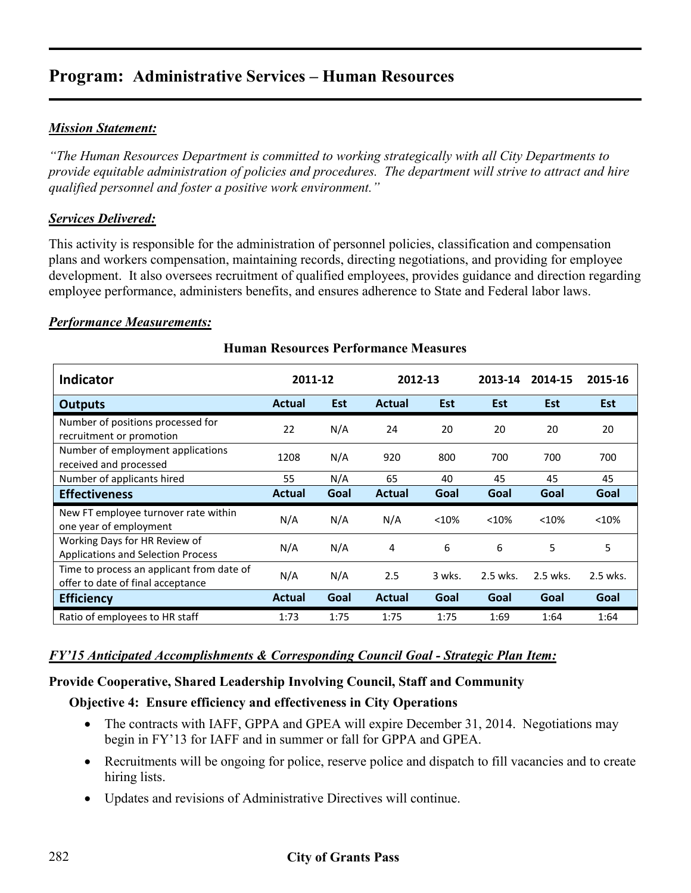#### *Mission Statement:*

*"The Human Resources Department is committed to working strategically with all City Departments to provide equitable administration of policies and procedures. The department will strive to attract and hire qualified personnel and foster a positive work environment."* 

#### *Services Delivered:*

This activity is responsible for the administration of personnel policies, classification and compensation plans and workers compensation, maintaining records, directing negotiations, and providing for employee development. It also oversees recruitment of qualified employees, provides guidance and direction regarding employee performance, administers benefits, and ensures adherence to State and Federal labor laws.

#### *Performance Measurements:*

| <b>Indicator</b>                                                               | 2011-12       |            | 2012-13       |        | 2013-14    | 2014-15    | 2015-16    |
|--------------------------------------------------------------------------------|---------------|------------|---------------|--------|------------|------------|------------|
| <b>Outputs</b>                                                                 | <b>Actual</b> | <b>Est</b> | Actual        | Est    | <b>Est</b> | <b>Est</b> | <b>Est</b> |
| Number of positions processed for<br>recruitment or promotion                  | 22            | N/A        | 24            | 20     | 20         | 20         | 20         |
| Number of employment applications<br>received and processed                    | 1208          | N/A        | 920           | 800    | 700        | 700        | 700        |
| Number of applicants hired                                                     | 55            | N/A        | 65            | 40     | 45         | 45         | 45         |
| <b>Effectiveness</b>                                                           | <b>Actual</b> | Goal       | <b>Actual</b> | Goal   | Goal       | Goal       | Goal       |
| New FT employee turnover rate within<br>one year of employment                 | N/A           | N/A        | N/A           | < 10%  | < 10%      | < 10%      | < 10%      |
| Working Days for HR Review of<br><b>Applications and Selection Process</b>     | N/A           | N/A        | 4             | 6      | 6          | 5          | 5          |
| Time to process an applicant from date of<br>offer to date of final acceptance | N/A           | N/A        | 2.5           | 3 wks. | 2.5 wks.   | 2.5 wks.   | 2.5 wks.   |
| <b>Efficiency</b>                                                              | <b>Actual</b> | Goal       | <b>Actual</b> | Goal   | Goal       | Goal       | Goal       |
| Ratio of employees to HR staff                                                 | 1:73          | 1:75       | 1:75          | 1:75   | 1:69       | 1:64       | 1:64       |

#### **Human Resources Performance Measures**

#### *FY'15 Anticipated Accomplishments & Corresponding Council Goal - Strategic Plan Item:*

#### **Provide Cooperative, Shared Leadership Involving Council, Staff and Community**

#### **Objective 4: Ensure efficiency and effectiveness in City Operations**

- The contracts with IAFF, GPPA and GPEA will expire December 31, 2014. Negotiations may begin in FY'13 for IAFF and in summer or fall for GPPA and GPEA.
- Recruitments will be ongoing for police, reserve police and dispatch to fill vacancies and to create hiring lists.
- Updates and revisions of Administrative Directives will continue.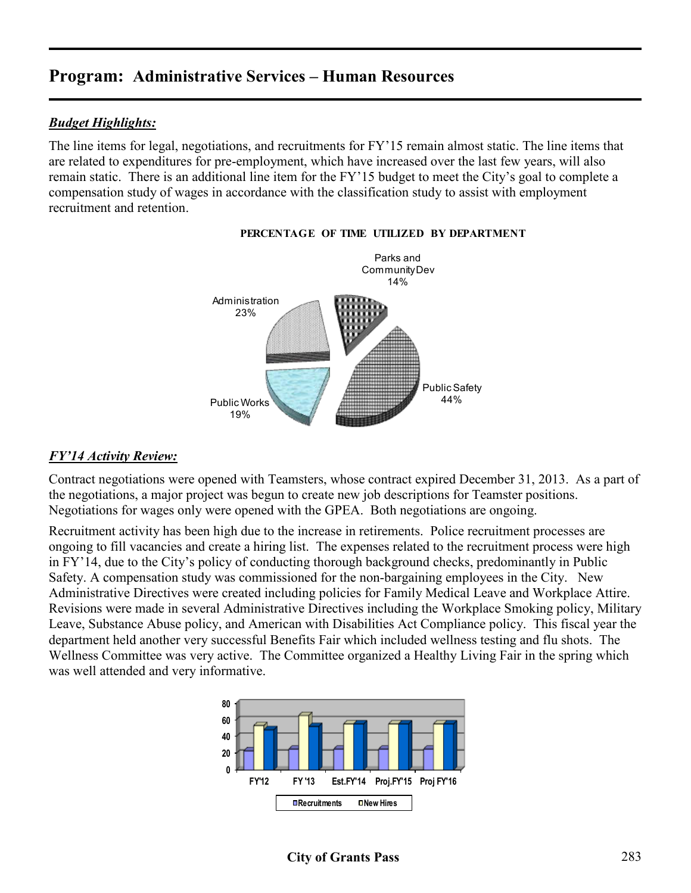#### *Budget Highlights:*

The line items for legal, negotiations, and recruitments for FY'15 remain almost static. The line items that are related to expenditures for pre-employment, which have increased over the last few years, will also remain static. There is an additional line item for the FY'15 budget to meet the City's goal to complete a compensation study of wages in accordance with the classification study to assist with employment recruitment and retention.



#### **PERCENTAGE OF TIME UTILIZED BY DEPARTMENT**

#### *FY'14 Activity Review:*

Contract negotiations were opened with Teamsters, whose contract expired December 31, 2013. As a part of the negotiations, a major project was begun to create new job descriptions for Teamster positions. Negotiations for wages only were opened with the GPEA. Both negotiations are ongoing.

Recruitment activity has been high due to the increase in retirements. Police recruitment processes are ongoing to fill vacancies and create a hiring list. The expenses related to the recruitment process were high in FY'14, due to the City's policy of conducting thorough background checks, predominantly in Public Safety. A compensation study was commissioned for the non-bargaining employees in the City. New Administrative Directives were created including policies for Family Medical Leave and Workplace Attire. Revisions were made in several Administrative Directives including the Workplace Smoking policy, Military Leave, Substance Abuse policy, and American with Disabilities Act Compliance policy. This fiscal year the department held another very successful Benefits Fair which included wellness testing and flu shots. The Wellness Committee was very active. The Committee organized a Healthy Living Fair in the spring which was well attended and very informative.

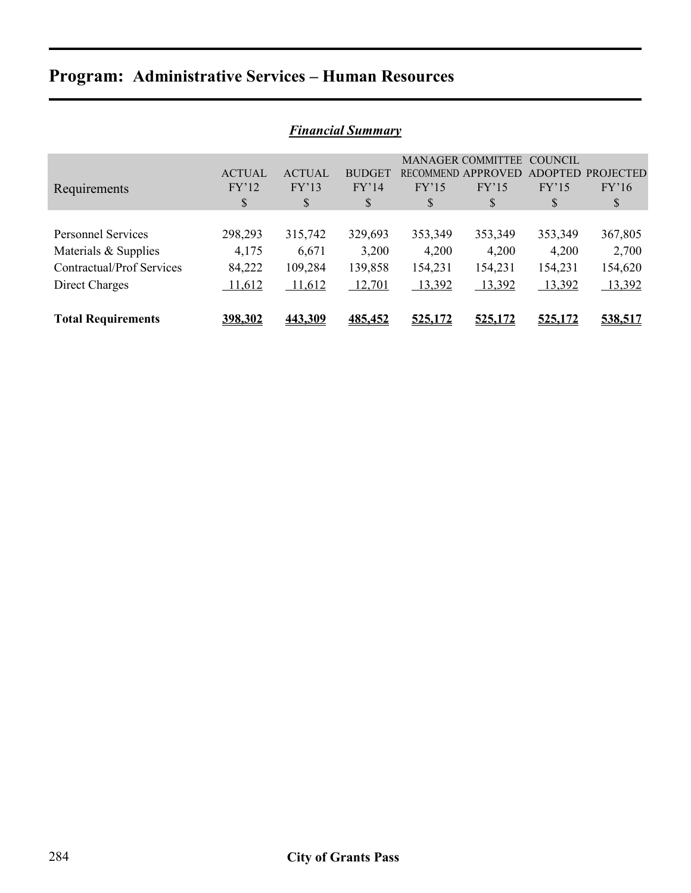| <b>Financial Summary</b>  |               |               |               |         |                          |                |                  |  |
|---------------------------|---------------|---------------|---------------|---------|--------------------------|----------------|------------------|--|
|                           |               |               |               |         | <b>MANAGER COMMITTEE</b> | COUNCIL        |                  |  |
|                           | <b>ACTUAL</b> | <b>ACTUAL</b> | <b>BUDGET</b> |         | RECOMMEND APPROVED       | <b>ADOPTED</b> | <b>PROJECTED</b> |  |
| Requirements              | FY'12         | FY'13         | FY'14         | FY'15   | FY'15                    | FY'15          | FY'16            |  |
|                           | \$            | \$            | \$            | S       | \$                       | \$             | \$               |  |
|                           |               |               |               |         |                          |                |                  |  |
| <b>Personnel Services</b> | 298,293       | 315,742       | 329,693       | 353,349 | 353,349                  | 353,349        | 367,805          |  |
| Materials & Supplies      | 4,175         | 6,671         | 3,200         | 4,200   | 4,200                    | 4,200          | 2,700            |  |
| Contractual/Prof Services | 84,222        | 109,284       | 139,858       | 154,231 | 154,231                  | 154,231        | 154,620          |  |
| Direct Charges            | 11,612        | 11,612        | 12,701        | 13,392  | 13,392                   | 13,392         | 13,392           |  |
|                           |               |               |               |         |                          |                |                  |  |
| <b>Total Requirements</b> | 398.302       | 443.309       | 485,452       | 525,172 | 525,172                  | 525.172        | 538.517          |  |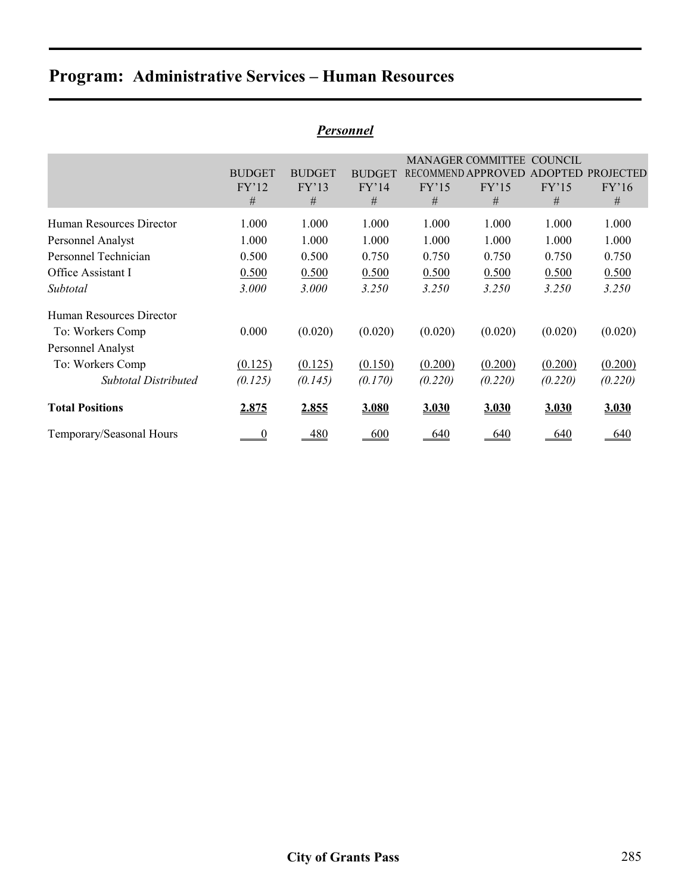|                          |               |               | r ersonnel    |         |                          |              |                   |
|--------------------------|---------------|---------------|---------------|---------|--------------------------|--------------|-------------------|
|                          |               |               |               |         | <b>MANAGER COMMITTEE</b> | COUNCIL      |                   |
|                          | <b>BUDGET</b> | <b>BUDGET</b> | <b>BUDGET</b> |         | RECOMMEND APPROVED       |              | ADOPTED PROJECTED |
|                          | FY'12         | FY'13         | FY'14         | FY'15   | FY'15                    | FY'15        | FY'16             |
|                          | #             | #             | #             | #       | #                        | #            | #                 |
| Human Resources Director | 1.000         | 1.000         | 1.000         | 1.000   | 1.000                    | 1.000        | 1.000             |
| Personnel Analyst        | 1.000         | 1.000         | 1.000         | 1.000   | 1.000                    | 1.000        | 1.000             |
| Personnel Technician     | 0.500         | 0.500         | 0.750         | 0.750   | 0.750                    | 0.750        | 0.750             |
| Office Assistant I       | 0.500         | 0.500         | 0.500         | 0.500   | 0.500                    | 0.500        | 0.500             |
| Subtotal                 | 3.000         | 3.000         | 3.250         | 3.250   | 3.250                    | 3.250        | <i>3.250</i>      |
| Human Resources Director |               |               |               |         |                          |              |                   |
| To: Workers Comp         | 0.000         | (0.020)       | (0.020)       | (0.020) | (0.020)                  | (0.020)      | (0.020)           |
| Personnel Analyst        |               |               |               |         |                          |              |                   |
| To: Workers Comp         | (0.125)       | (0.125)       | (0.150)       | (0.200) | (0.200)                  | (0.200)      | (0.200)           |
| Subtotal Distributed     | (0.125)       | (0.145)       | (0.170)       | (0.220) | (0.220)                  | (0.220)      | (0.220)           |
| <b>Total Positions</b>   | <u>2.875</u>  | 2.855         | 3.080         | 3.030   | 3.030                    | <u>3.030</u> | 3.030             |
| Temporary/Seasonal Hours | $\frac{0}{2}$ | 480           | 600           | 640     | 640                      | 640          | 640               |

### *Personnel*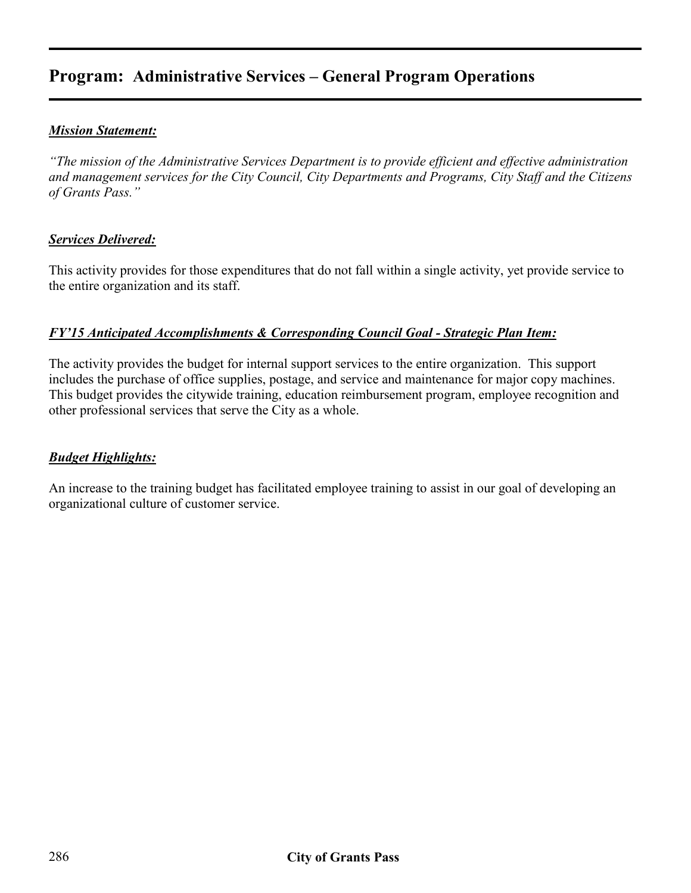## **Program: Administrative Services – General Program Operations**

#### *Mission Statement:*

*"The mission of the Administrative Services Department is to provide efficient and effective administration and management services for the City Council, City Departments and Programs, City Staff and the Citizens of Grants Pass."* 

#### *Services Delivered:*

This activity provides for those expenditures that do not fall within a single activity, yet provide service to the entire organization and its staff.

#### *FY'15 Anticipated Accomplishments & Corresponding Council Goal - Strategic Plan Item:*

The activity provides the budget for internal support services to the entire organization. This support includes the purchase of office supplies, postage, and service and maintenance for major copy machines. This budget provides the citywide training, education reimbursement program, employee recognition and other professional services that serve the City as a whole.

#### *Budget Highlights:*

An increase to the training budget has facilitated employee training to assist in our goal of developing an organizational culture of customer service.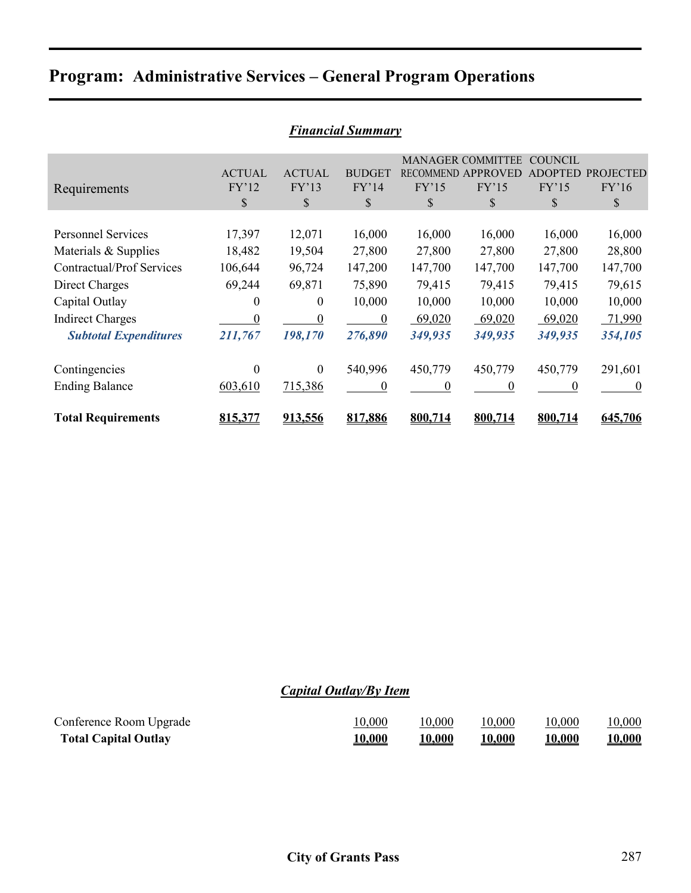## **Program: Administrative Services – General Program Operations**

| <b>Financial Summary</b>         |                  |               |                  |          |                          |                |                  |  |  |
|----------------------------------|------------------|---------------|------------------|----------|--------------------------|----------------|------------------|--|--|
|                                  |                  |               |                  |          | <b>MANAGER COMMITTEE</b> | <b>COUNCIL</b> |                  |  |  |
|                                  | <b>ACTUAL</b>    | <b>ACTUAL</b> | <b>BUDGET</b>    |          | RECOMMEND APPROVED       | <b>ADOPTED</b> | <b>PROJECTED</b> |  |  |
| Requirements                     | FY'12            | FY'13         | FY'14            | FY'15    | FY'15                    | FY'15          | FY'16            |  |  |
|                                  | \$               | \$            | $\mathcal{S}$    | \$       | \$                       | \$             | \$               |  |  |
|                                  |                  |               |                  |          |                          |                |                  |  |  |
| <b>Personnel Services</b>        | 17,397           | 12,071        | 16,000           | 16,000   | 16,000                   | 16,000         | 16,000           |  |  |
| Materials & Supplies             | 18,482           | 19,504        | 27,800           | 27,800   | 27,800                   | 27,800         | 28,800           |  |  |
| <b>Contractual/Prof Services</b> | 106,644          | 96,724        | 147,200          | 147,700  | 147,700                  | 147,700        | 147,700          |  |  |
| Direct Charges                   | 69,244           | 69,871        | 75,890           | 79,415   | 79,415                   | 79,415         | 79,615           |  |  |
| Capital Outlay                   | $\boldsymbol{0}$ | $\theta$      | 10,000           | 10,000   | 10,000                   | 10,000         | 10,000           |  |  |
| <b>Indirect Charges</b>          | $\boldsymbol{0}$ | $\mathbf{0}$  | $\boldsymbol{0}$ | 69,020   | 69,020                   | 69,020         | 71,990           |  |  |
| <b>Subtotal Expenditures</b>     | 211,767          | 198,170       | 276,890          | 349,935  | 349,935                  | 349,935        | 354,105          |  |  |
|                                  |                  |               |                  |          |                          |                |                  |  |  |
| Contingencies                    | $\theta$         | $\Omega$      | 540,996          | 450,779  | 450,779                  | 450,779        | 291,601          |  |  |
| <b>Ending Balance</b>            | 603,610          | 715,386       | $\theta$         | $\Omega$ | $\Omega$                 | 0              | $\theta$         |  |  |
| <b>Total Requirements</b>        | 815,377          | 913,556       | 817,886          | 800,714  | 800,714                  | 800,714        | 645,706          |  |  |

#### *Financial Summary*

### *Capital Outlay/By Item*

| Conference Room Upgrade     | 10,000 | 10,000         | 10,000         | 10,000         | 10,000         |
|-----------------------------|--------|----------------|----------------|----------------|----------------|
| <b>Total Capital Outlay</b> | 10,000 | <u> 10,000</u> | <u> 10,000</u> | <u> 10,000</u> | <u> 10,000</u> |